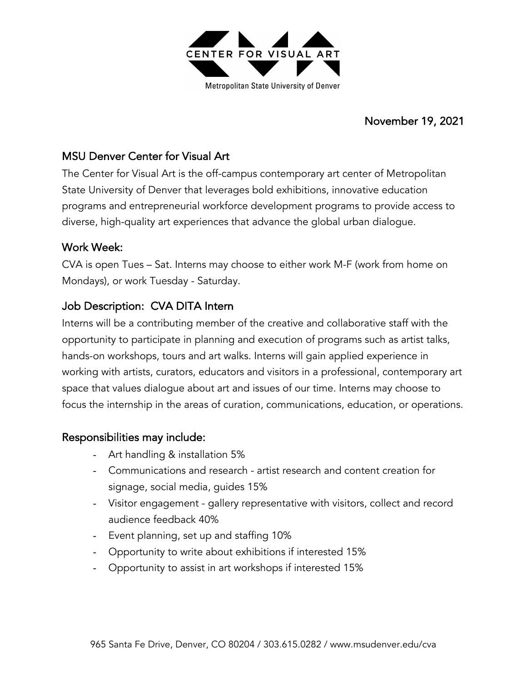

### November 19, 2021

# MSU Denver Center for Visual Art

The Center for Visual Art is the off-campus contemporary art center of Metropolitan State University of Denver that leverages bold exhibitions, innovative education programs and entrepreneurial workforce development programs to provide access to diverse, high-quality art experiences that advance the global urban dialogue.

#### Work Week:

CVA is open Tues – Sat. Interns may choose to either work M-F (work from home on Mondays), or work Tuesday - Saturday.

# Job Description: CVA DITA Intern

Interns will be a contributing member of the creative and collaborative staff with the opportunity to participate in planning and execution of programs such as artist talks, hands-on workshops, tours and art walks. Interns will gain applied experience in working with artists, curators, educators and visitors in a professional, contemporary art space that values dialogue about art and issues of our time. Interns may choose to focus the internship in the areas of curation, communications, education, or operations.

#### Responsibilities may include:

- Art handling & installation 5%
- Communications and research artist research and content creation for signage, social media, guides 15%
- Visitor engagement gallery representative with visitors, collect and record audience feedback 40%
- Event planning, set up and staffing 10%
- Opportunity to write about exhibitions if interested 15%
- Opportunity to assist in art workshops if interested 15%